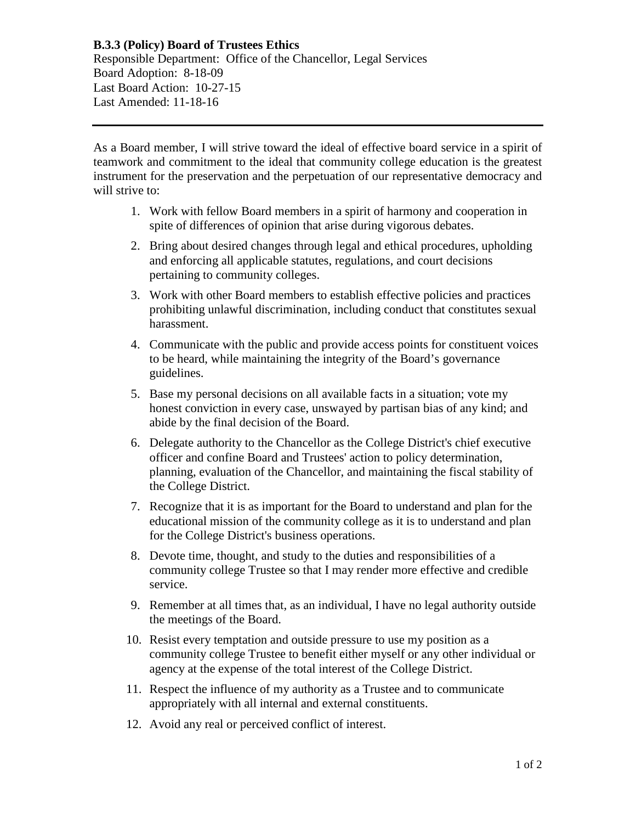## **B.3.3 (Policy) Board of Trustees Ethics**

Responsible Department: Office of the Chancellor, Legal Services Board Adoption: 8-18-09 Last Board Action: 10-27-15 Last Amended: 11-18-16

As a Board member, I will strive toward the ideal of effective board service in a spirit of teamwork and commitment to the ideal that community college education is the greatest instrument for the preservation and the perpetuation of our representative democracy and will strive to:

- 1. Work with fellow Board members in a spirit of harmony and cooperation in spite of differences of opinion that arise during vigorous debates.
- 2. Bring about desired changes through legal and ethical procedures, upholding and enforcing all applicable statutes, regulations, and court decisions pertaining to community colleges.
- 3. Work with other Board members to establish effective policies and practices prohibiting unlawful discrimination, including conduct that constitutes sexual harassment.
- 4. Communicate with the public and provide access points for constituent voices to be heard, while maintaining the integrity of the Board's governance guidelines.
- 5. Base my personal decisions on all available facts in a situation; vote my honest conviction in every case, unswayed by partisan bias of any kind; and abide by the final decision of the Board.
- 6. Delegate authority to the Chancellor as the College District's chief executive officer and confine Board and Trustees' action to policy determination, planning, evaluation of the Chancellor, and maintaining the fiscal stability of the College District.
- 7. Recognize that it is as important for the Board to understand and plan for the educational mission of the community college as it is to understand and plan for the College District's business operations.
- 8. Devote time, thought, and study to the duties and responsibilities of a community college Trustee so that I may render more effective and credible service.
- 9. Remember at all times that, as an individual, I have no legal authority outside the meetings of the Board.
- 10. Resist every temptation and outside pressure to use my position as a community college Trustee to benefit either myself or any other individual or agency at the expense of the total interest of the College District.
- 11. Respect the influence of my authority as a Trustee and to communicate appropriately with all internal and external constituents.
- 12. Avoid any real or perceived conflict of interest.